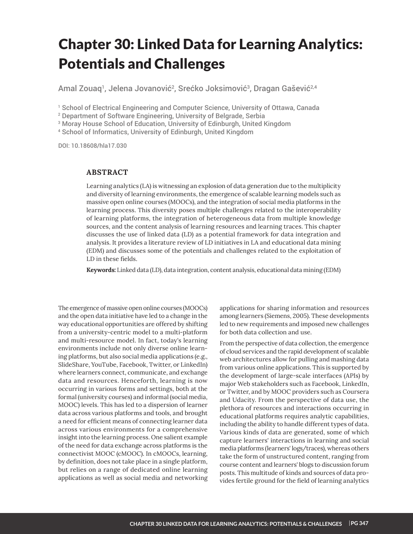# Chapter 30: Linked Data for Learning Analytics: Potentials and Challenges

Amal Zouaq<sup>1</sup>, Jelena Jovanović<sup>2</sup>, Srećko Joksimović<sup>3</sup>, Dragan Gašević<sup>2,4</sup>

1 School of Electrical Engineering and Computer Science, University of Ottawa, Canada

2 Department of Software Engineering, University of Belgrade, Serbia

3 Moray House School of Education, University of Edinburgh, United Kingdom

4 School of Informatics, University of Edinburgh, United Kingdom

DOI: 10.18608/hla17.030

# **ABSTRACT**

Learning analytics (LA) is witnessing an explosion of data generation due to the multiplicity and diversity of learning environments, the emergence of scalable learning models such as massive open online courses (MOOCs), and the integration of social media platforms in the learning process. This diversity poses multiple challenges related to the interoperability of learning platforms, the integration of heterogeneous data from multiple knowledge sources, and the content analysis of learning resources and learning traces. This chapter discusses the use of linked data (LD) as a potential framework for data integration and analysis. It provides a literature review of LD initiatives in LA and educational data mining (EDM) and discusses some of the potentials and challenges related to the exploitation of LD in these fields.

Keywords: Linked data (LD), data integration, content analysis, educational data mining (EDM)

The emergence of massive open online courses (MOOCs) and the open data initiative have led to a change in the way educational opportunities are offered by shifting from a university-centric model to a multi-platform and multi-resource model. In fact, today's learning environments include not only diverse online learning platforms, but also social media applications (e.g., SlideShare, YouTube, Facebook, Twitter, or LinkedIn) where learners connect, communicate, and exchange data and resources. Henceforth, learning is now occurring in various forms and settings, both at the formal (university courses) and informal (social media, MOOC) levels. This has led to a dispersion of learner data across various platforms and tools, and brought a need for efficient means of connecting learner data across various environments for a comprehensive insight into the learning process. One salient example of the need for data exchange across platforms is the connectivist MOOC (cMOOC). In cMOOCs, learning, by definition, does not take place in a single platform, but relies on a range of dedicated online learning applications as well as social media and networking

applications for sharing information and resources among learners (Siemens, 2005). These developments led to new requirements and imposed new challenges for both data collection and use.

From the perspective of data collection, the emergence of cloud services and the rapid development of scalable web architectures allow for pulling and mashing data from various online applications. This is supported by the development of large-scale interfaces (APIs) by major Web stakeholders such as Facebook, LinkedIn, or Twitter, and by MOOC providers such as Coursera and Udacity. From the perspective of data use, the plethora of resources and interactions occurring in educational platforms requires analytic capabilities, including the ability to handle different types of data. Various kinds of data are generated, some of which capture learners' interactions in learning and social media platforms (learners' logs/traces), whereas others take the form of unstructured content, ranging from course content and learners' blogs to discussion forum posts. This multitude of kinds and sources of data provides fertile ground for the field of learning analytics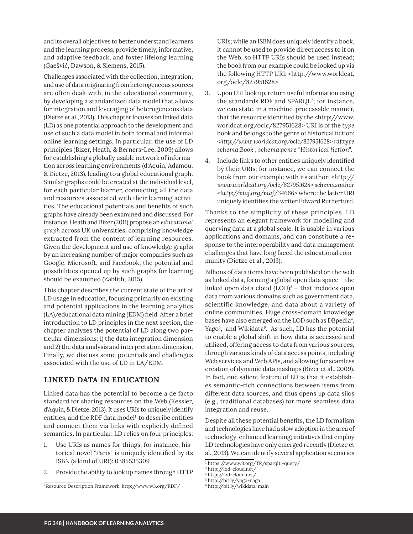and its overall objectives to better understand learners and the learning process, provide timely, informative, and adaptive feedback, and foster lifelong learning (Gaešvić, Dawson, & Siemens, 2015).

Challenges associated with the collection, integration, and use of data originating from heterogeneous sources are often dealt with, in the educational community, by developing a standardized data model that allows for integration and leveraging of heterogeneous data (Dietze et al., 2013). This chapter focuses on linked data (LD) as one potential approach to the development and use of such a data model in both formal and informal online learning settings. In particular, the use of LD principles (Bizer, Heath, & Berners-Lee, 2009) allows for establishing a globally usable network of information across learning environments (d'Aquin, Adamou, & Dietze, 2013), leading to a global educational graph. Similar graphs could be created at the individual level, for each particular learner, connecting all the data and resources associated with their learning activities. The educational potentials and benefits of such graphs have already been examined and discussed. For instance, Heath and Bizer (2011) propose an educational *graph* across UK universities, comprising knowledge extracted from the content of learning resources. Given the development and use of knowledge graphs by an increasing number of major companies such as Google, Microsoft, and Facebook, the potential and possibilities opened up by such graphs for learning should be examined (Zablith, 2015).

This chapter describes the current state of the art of LD usage in education, focusing primarily on existing and potential applications in the learning analytics (LA)/educational data mining (EDM) field. After a brief introduction to LD principles in the next section, the chapter analyzes the potential of LD along two particular dimensions: 1) the data integration dimension and 2) the data analysis and interpretation dimension. Finally, we discuss some potentials and challenges associated with the use of LD in LA/EDM.

# **LINKED DATA IN EDUCATION**

Linked data has the potential to become a de facto standard for sharing resources on the Web (Kessler, d'Aquin, & Dietze, 2013). It uses URIs to uniquely identify entities, and the RDF data model $^1$  to describe entities and connect them via links with explicitly defined semantics. In particular, LD relies on four principles:

- 1. Use URIs as names for things; for instance, historical novel "Paris" is uniquely identified by its ISBN (a kind of URI): 0385535309
- 2. Provide the ability to look up names through HTTP

URIs; while an ISBN does uniquely identify a book, it cannot be used to provide direct access to it on the Web, so HTTP URIs should be used instead; the book from our example could be looked up via the following HTTP URI: < http://www.worldcat. org/oclc/827951628>

- 3. Upon URI look up, return useful information using the standards RDF and SPARQL<sup>2</sup>; for instance, we can state, in a machine-processable manner, that the resource identified by the <http://www. worldcat.org/oclc/827951628> URI is of the type book and belongs to the genre of historical fiction: *<http://www.worldcat.org/oclc/827951628> rdf:type*   $s$ chema:Book ; schema:genre "Historical fiction".
- 4. Include links to other entities uniquely identified by their URIs; for instance, we can connect the book from our example with its author: <http:// *www.worldcat.org/oclc/827951628> schema:author <http://viaf.org/viaf/34666>* where the latter URI uniquely identifies the writer Edward Rutherfurd.

Thanks to the simplicity of these principles, LD represents an elegant framework for modelling and querying data at a global scale. It is usable in various applications and domains, and can constitute a response to the interoperability and data management challenges that have long faced the educational community (Dietze et al., 2013).

Billions of data items have been published on the web as linked data, forming a global open data space — the linked open data cloud (LOD) $^3$  – that includes open data from various domains such as government data, scientific knowledge, and data about a variety of online communities. Huge cross-domain knowledge bases have also emerged on the LOD such as DBpedia<sup>4</sup>, Yago<sup>5</sup>, and Wikidata<sup>6</sup>. As such, LD has the potential to enable a global shift in how data is accessed and utilized, offering access to data from various sources, through various kinds of data access points, including Web services and Web APIs, and allowing for seamless creation of dynamic data mashups (Bizer et al., 2009). In fact, one salient feature of LD is that it establishes semantic-rich connections between items from different data sources, and thus opens up data silos (e.g., traditional databases) for more seamless data integration and reuse.

Despite all these potential benefits, the LD formalism and technologies have had a slow adoption in the area of technology-enhanced learning; initiatives that employ LD technologies have only emerged recently (Dietze et al., 2013). We can identify several application scenarios

<sup>&</sup>lt;sup>1</sup> Resource Description Framework, http://www.w3.org/RDF/

<sup>2</sup> https://www.w3.org/TR/sparql11-query/

<sup>3</sup> http://lod-cloud.net/

<sup>4</sup> http://lod-cloud.net/

<sup>5</sup> http://bit.ly/yago-naga

 http://bit.ly/wikidata-main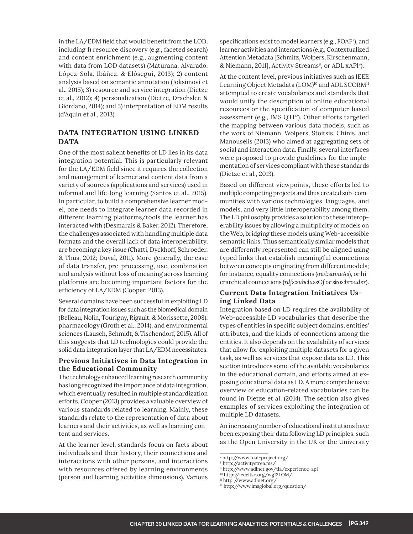in the LA/EDM field that would benefit from the LOD, including 1) resource discovery (e.g., faceted search) and content enrichment (e.g., augmenting content with data from LOD datasets) (Maturana, Alvarado, López-Sola, Ibáñez, & Elósegui, 2013); 2) content analysis based on semantic annotation (Joksimovi et al., 2015); 3) resource and service integration (Dietze et al., 2012); 4) personalization (Dietze, Drachsler, & Giordano, 2014); and 5) interpretation of EDM results (d'Aquin et al., 2013).

# **DATA INTEGRATION USING LINKED DATA**

One of the most salient benefits of LD lies in its data integration potential. This is particularly relevant for the LA/EDM field since it requires the collection and management of learner and content data from a variety of sources (applications and services) used in informal and life-long learning (Santos et al., 2015). In particular, to build a comprehensive learner model, one needs to integrate learner data recorded in different learning platforms/tools the learner has interacted with (Desmarais & Baker, 2012). Therefore, the challenges associated with handling multiple data formats and the overall lack of data interoperability, are becoming a key issue (Chatti, Dyckhoff, Schroeder, & Thüs, 2012; Duval, 2011). More generally, the ease of data transfer, pre-processing, use, combination and analysis without loss of meaning across learning platforms are becoming important factors for the efficiency of LA/EDM (Cooper, 2013).

Several domains have been successful in exploiting LD for data integration issues such as the biomedical domain (Belleau, Nolin, Tourigny, Rigault, & Morissette, 2008), pharmacology (Groth et al., 2014), and environmental sciences (Lausch, Schmidt, & Tischendorf, 2015). All of this suggests that LD technologies could provide the solid data integration layer that LA/EDM necessitates.

# **Previous Initiatives in Data Integration in the Educational Community**

The technology enhanced learning research community has long recognized the importance of data integration, which eventually resulted in multiple standardization efforts. Cooper (2013) provides a valuable overview of various standards related to learning. Mainly, these standards relate to the representation of data about learners and their activities, as well as learning content and services.

At the learner level, standards focus on facts about individuals and their history, their connections and interactions with other persons, and interactions with resources offered by learning environments (person and learning activities dimensions). Various

specifications exist to model learners (e.g., FOAF<sup>7</sup>), and learner activities and interactions (e.g., Contextualized Attention Metadata [Schmitz, Wolpers, Kirschenmann, & Niemann, 2011], Activity Streams<sup>8</sup>, or ADL xAPI<sup>9</sup>).

At the content level, previous initiatives such as IEEE Learning Object Metadata (LOM)<sup>10</sup> and ADL SCORM<sup>11</sup> attempted to create vocabularies and standards that would unify the description of online educational resources or the specification of computer-based assessment (e.g., IMS QTI<sup>12</sup>). Other efforts targeted the mapping between various data models, such as the work of Niemann, Wolpers, Stoitsis, Chinis, and Manouselis (2013) who aimed at aggregating sets of social and interaction data. Finally, several interfaces were proposed to provide guidelines for the implementation of services compliant with these standards (Dietze et al., 2013).

Based on different viewpoints, these efforts led to multiple competing projects and thus created sub-communities with various technologies, languages, and models, and very little interoperability among them. The LD philosophy provides a solution to these interoperability issues by allowing a multiplicity of models on the Web, bridging these models using Web-accessible semantic links. Thus semantically similar models that are differently represented can still be aligned using typed links that establish meaningful connections between concepts originating from different models; for instance, equality connections (*owl:sameAs*), or hierarchical connections (*rdfs:subclassOf or skos:broader*).

# **Current Data Integration Initiatives Using Linked Data**

Integration based on LD requires the availability of Web-accessible LD vocabularies that describe the types of entities in specific subject domains, entities' attributes, and the kinds of connections among the entities. It also depends on the availability of services that allow for exploiting multiple datasets for a given task, as well as services that expose data as LD. This section introduces some of the available vocabularies in the educational domain, and efforts aimed at exposing educational data as LD. A more comprehensive overview of education-related vocabularies can be found in Dietze et al. (2014). The section also gives examples of services exploiting the integration of multiple LD datasets.

An increasing number of educational institutions have been exposing their data following LD principles, such as the Open University in the UK or the University

% http://www.adlnet.gov/tla/experience-api

<sup>7</sup> http://www.foaf-project.org/

<sup>8</sup> http://activitystrea.ms/

<sup>10</sup> http://ieeeltsc.org/wg12LOM/

<sup>11</sup> http://www.adlnet.org/

<sup>12</sup> http://www.imsglobal.org/question/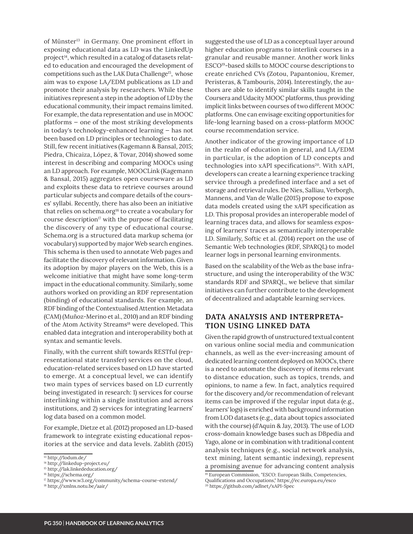of Münster<sup>13</sup> in Germany. One prominent effort in exposing educational data as LD was the LinkedUp project<sup>14</sup>, which resulted in a catalog of datasets related to education and encouraged the development of competitions such as the LAK Data Challenge<sup>15</sup>, whose aim was to expose LA/EDM publications as LD and promote their analysis by researchers. While these initiatives represent a step in the adoption of LD by the educational community, their impact remains limited. For example, the data representation and use in MOOC platforms — one of the most striking developments in today's technology-enhanced learning – has not been based on LD principles or technologies to date. Still, few recent initiatives (Kagemann & Bansal, 2015; Piedra, Chicaiza, López, & Tovar, 2014) showed some interest in describing and comparing MOOCs using an LD approach. For example, MOOCLink (Kagemann & Bansal, 2015) aggregates open courseware as LD and exploits these data to retrieve courses around particular subjects and compare details of the courses' syllabi. Recently, there has also been an initiative that relies on schema.org<sup>16</sup> to create a vocabulary for course description $17$  with the purpose of facilitating the discovery of any type of educational course. Schema.org is a structured data markup schema (or vocabulary) supported by major Web search engines. This schema is then used to annotate Web pages and facilitate the discovery of relevant information. Given its adoption by major players on the Web, this is a welcome initiative that might have some long-term impact in the educational community. Similarly, some authors worked on providing an RDF representation (binding) of educational standards. For example, an RDF binding of the Contextualised Attention Metadata (CAM) (Muñoz-Merino et al., 2010) and an RDF binding of the Atom Activity Streams<sup>18</sup> were developed. This enabled data integration and interoperability both at syntax and semantic levels.

Finally, with the current shift towards RESTful (representational state transfer) services on the cloud, education-related services based on LD have started to emerge. At a conceptual level, we can identify two main types of services based on LD currently being investigated in research: 1) services for course interlinking within a single institution and across institutions, and 2) services for integrating learners' log data based on a common model.

For example, Dietze et al. (2012) proposed an LD-based framework to integrate existing educational repositories at the service and data levels. Zablith (2015) suggested the use of LD as a conceptual layer around higher education programs to interlink courses in a granular and reusable manner. Another work links ESCO<sup>19</sup>-based skills to MOOC course descriptions to create enriched CVs (Zotou, Papantoniou, Kremer, Peristeras, & Tambouris, 2014). Interestingly, the authors are able to identify similar skills taught in the Coursera and Udacity MOOC platforms, thus providing implicit links between courses of two different MOOC platforms. One can envisage exciting opportunities for life-long learning based on a cross-platform MOOC course recommendation service.

Another indicator of the growing importance of LD in the realm of education in general, and LA/EDM in particular, is the adoption of LD concepts and technologies into xAPI specifications<sup>20</sup>. With xAPI, developers can create a learning experience tracking service through a predefined interface and a set of storage and retrieval rules. De Nies, Salliau, Verborgh, Mannens, and Van de Walle (2015) propose to expose data models created using the xAPI specification as LD. This proposal provides an interoperable model of learning traces data, and allows for seamless exposing of learners' traces as semantically interoperable LD. Similarly, Softic et al. (2014) report on the use of Semantic Web technologies (RDF, SPARQL) to model learner logs in personal learning environments.

Based on the scalability of the Web as the base infrastructure, and using the interoperability of the W3C standards RDF and SPARQL, we believe that similar initiatives can further contribute to the development of decentralized and adaptable learning services.

# **DATA ANALYSIS AND INTERPRETA-TION USING LINKED DATA**

Given the rapid growth of unstructured textual content on various online social media and communication channels, as well as the ever-increasing amount of dedicated learning content deployed on MOOCs, there is a need to automate the discovery of items relevant to distance education, such as topics, trends, and opinions, to name a few. In fact, analytics required for the discovery and/or recommendation of relevant items can be improved if the regular input data (e.g., learners' logs) is enriched with background information from LOD datasets (e.g., data about topics associated with the course) (d'Aquin & Jay, 2013). The use of LOD cross-domain knowledge bases such as DBpedia and Yago, alone or in combination with traditional content analysis techniques (e.g., social network analysis, text mining, latent semantic indexing), represent a promising avenue for advancing content analysis

<sup>13</sup> http://lodum.de/

<sup>14</sup> http://linkedup-project.eu/

<sup>15</sup> http://lak.linkededucation.org/

<sup>16</sup> https://schema.org/

<sup>&</sup>lt;sup>17</sup> https://www.w3.org/community/schema-course-extend/

<sup>&</sup>lt;sup>18</sup> http://xmlns.notu.be/aair/

<sup>&</sup>lt;sup>19</sup> European Commission, "ESCO: European Skills, Competencies, Qualifications and Occupations," https://ec.europa.eu/esco <sup>20</sup> https://github.com/adlnet/xAPI-Spec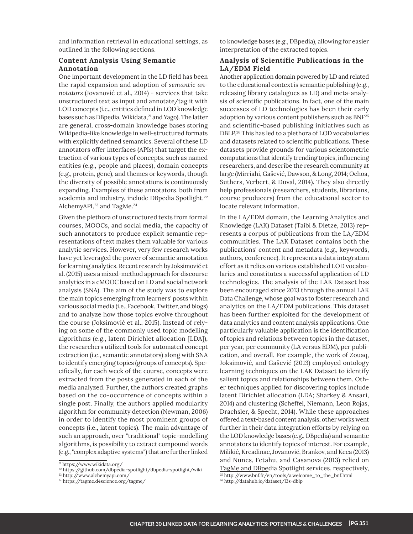and information retrieval in educational settings, as outlined in the following sections.

# **Content Analysis Using Semantic Annotation**

One important development in the LD field has been the rapid expansion and adoption of semantic an*notators* (Jovanović et al., 2014) - services that take unstructured text as input and annotate/tag it with LOD concepts (i.e., entities defined in LOD knowledge bases such as DBpedia, Wikidata,<sup>21</sup> and Yago). The latter are general, cross-domain knowledge bases storing Wikipedia-like knowledge in well-structured formats with explicitly defined semantics. Several of these LD annotators offer interfaces (APIs) that target the extraction of various types of concepts, such as named entities (e.g., people and places), domain concepts (e.g., protein, gene), and themes or keywords, though the diversity of possible annotations is continuously expanding. Examples of these annotators, both from academia and industry, include DBpedia Spotlight,<sup>22</sup> AlchemyAPI,<sup>23</sup> and TagMe.<sup>24</sup>

Given the plethora of unstructured texts from formal courses, MOOCs, and social media, the capacity of such annotators to produce explicit semantic representations of text makes them valuable for various analytic services. However, very few research works have yet leveraged the power of semantic annotation for learning analytics. Recent research by Joksimović et al. (2015) uses a mixed-method approach for discourse analytics in a cMOOC based on LD and social network analysis (SNA). The aim of the study was to explore the main topics emerging from learners' posts within various social media (i.e., Facebook, Twitter, and blogs) and to analyze how those topics evolve throughout the course (Joksimović et al., 2015). Instead of relying on some of the commonly used topic modelling algorithms (e.g., latent Dirichlet allocation [LDA]), the researchers utilized tools for automated concept extraction (i.e., semantic annotators) along with SNA to identify emerging topics (groups of concepts). Specifically, for each week of the course, concepts were extracted from the posts generated in each of the media analyzed. Further, the authors created graphs based on the co-occurrence of concepts within a single post. Finally, the authors applied modularity algorithm for community detection (Newman, 2006) in order to identify the most prominent groups of concepts (i.e., latent topics). The main advantage of such an approach, over "traditional" topic-modelling algorithms, is possibility to extract compound words (e.g., "complex adaptive systems") that are further linked

to knowledge bases (e.g., DBpedia), allowing for easier interpretation of the extracted topics.

# **Analysis of Scientific Publications in the LA/EDM Field**

Another application domain powered by LD and related to the educational context is semantic publishing (e.g., releasing library catalogues as LD) and meta-analysis of scientific publications. In fact, one of the main successes of LD technologies has been their early adoption by various content publishers such as BNF<sup>25</sup> and scientific-based publishing initiatives such as DBLP.<sup>26</sup> This has led to a plethora of LOD vocabularies and datasets related to scientific publications. These datasets provide grounds for various scientometric computations that identify trending topics, influencing researchers, and describe the research community at large (Mirriahi, Gašević, Dawson, & Long, 2014; Ochoa, Suthers, Verbert, & Duval, 2014). They also directly help professionals (researchers, students, librarians, course producers) from the educational sector to locate relevant information.

In the LA/EDM domain, the Learning Analytics and Knowledge (LAK) Dataset (Taibi & Dietze, 2013) represents a corpus of publications from the LA/EDM communities. The LAK Dataset contains both the publications' content and metadata (e.g., keywords, authors, conference). It represents a data integration effort as it relies on various established LOD vocabularies and constitutes a successful application of LD technologies. The analysis of the LAK Dataset has been encouraged since 2013 through the annual LAK Data Challenge, whose goal was to foster research and analytics on the LA/EDM publications. This dataset has been further exploited for the development of data analytics and content analysis applications. One particularly valuable application is the identification of topics and relations between topics in the dataset, per year, per community (LA versus EDM), per publication, and overall. For example, the work of Zouaq, Joksimović, and Gašević (2013) employed ontology learning techniques on the LAK Dataset to identify salient topics and relationships between them. Other techniques applied for discovering topics include latent Dirichlet allocation (LDA; Sharkey & Ansari, 2014) and clustering (Scheffel, Niemann, Leon Rojas, Drachsler, & Specht, 2014). While these approaches offered a text-based content analysis, other works went further in their data integration efforts by relying on the LOD knowledge bases (e.g., DBpedia) and semantic annotators to identify topics of interest. For example, Milikić, Krcadinac, Jovanović, Brankov, and Keca (2013) and Nunes, Fetahu, and Casanova (2013) relied on TagMe and DBpedia Spotlight services, respectively,

<sup>21</sup> https://www.wikidata.org/

<sup>22</sup> https://github.com/dbpedia-spotlight/dbpedia-spotlight/wiki

<sup>23</sup> http://www.alchemyapi.com/

<sup>24</sup> https://tagme.d4science.org/tagme/

<sup>&</sup>lt;sup>25</sup> http://www.bnf.fr/en/tools/a.welcome\_to\_the\_bnf.html

http://datahub.io/dataset/l3s-dblp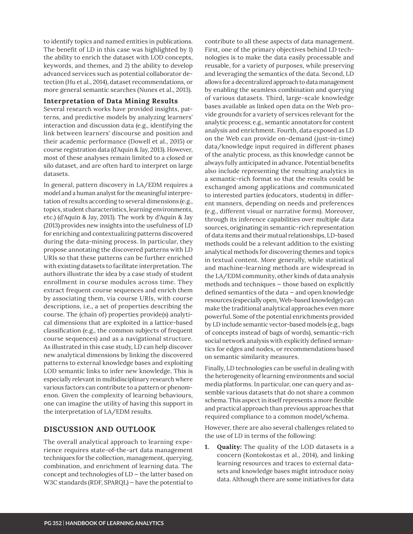to identify topics and named entities in publications. The benefit of LD in this case was highlighted by 1) the ability to enrich the dataset with LOD concepts, keywords, and themes, and 2) the ability to develop advanced services such as potential collaborator detection (Hu et al., 2014), dataset recommendations, or more general semantic searches (Nunes et al., 2013).

#### **Interpretation of Data Mining Results**

Several research works have provided insights, patterns, and predictive models by analyzing learners' interaction and discussion data (e.g., identifying the link between learners' discourse and position and their academic performance (Dowell et al., 2015) or course registration data (d'Aquin & Jay, 2013). However, most of these analyses remain limited to a closed or silo dataset, and are often hard to interpret on large datasets.

In general, pattern discovery in LA/EDM requires a model and a human analyst for the meaningful interpretation of results according to several dimensions (e.g., topics, student characteristics, learning environments, etc.) (d'Aquin & Jay, 2013). The work by d'Aquin & Jay (2013) provides new insights into the usefulness of LD for enriching and contextualizing patterns discovered during the data-mining process. In particular, they propose annotating the discovered patterns with LD URIs so that these patterns can be further enriched with existing datasets to facilitate interpretation. The authors illustrate the idea by a case study of student enrollment in course modules across time. They extract frequent course sequences and enrich them by associating them, via course URIs, with course descriptions, i.e., a set of properties describing the course. The (chain of) properties provide(s) analytical dimensions that are exploited in a lattice-based classification (e.g., the common subjects of frequent course sequences) and as a navigational structure. As illustrated in this case study, LD can help discover new analytical dimensions by linking the discovered patterns to external knowledge bases and exploiting LOD semantic links to infer new knowledge. This is especially relevant in multidisciplinary research where various factors can contribute to a pattern or phenomenon. Given the complexity of learning behaviours, one can imagine the utility of having this support in the interpretation of LA/EDM results.

# **DISCUSSION AND OUTLOOK**

The overall analytical approach to learning experience requires state-of-the-art data management techniques for the collection, management, querying, combination, and enrichment of learning data. The concept and technologies of  $LD$  – the latter based on W3C standards (RDF, SPARQL) - have the potential to

contribute to all these aspects of data management. First, one of the primary objectives behind LD technologies is to make the data easily processable and reusable, for a variety of purposes, while preserving and leveraging the semantics of the data. Second, LD allows for a decentralized approach to data management by enabling the seamless combination and querying of various datasets. Third, large-scale knowledge bases available as linked open data on the Web provide grounds for a variety of services relevant for the analytic process; e.g., semantic annotators for content analysis and enrichment. Fourth, data exposed as LD on the Web can provide on-demand (just-in-time) data/knowledge input required in different phases of the analytic process, as this knowledge cannot be always fully anticipated in advance. Potential benefits also include representing the resulting analytics in a semantic-rich format so that the results could be exchanged among applications and communicated to interested parties (educators, students) in different manners, depending on needs and preferences (e.g., different visual or narrative forms). Moreover, through its inference capabilities over multiple data sources, originating in semantic-rich representation of data items and their mutual relationships, LD-based methods could be a relevant addition to the existing analytical methods for discovering themes and topics in textual content. More generally, while statistical and machine-learning methods are widespread in the LA/EDM community, other kinds of data analysis methods and techniques  $-$  those based on explicitly defined semantics of the data  $-$  and open knowledge resources (especially open, Web-based knowledge) can make the traditional analytical approaches even more powerful. Some of the potential enrichments provided by LD include semantic vector-based models (e.g., bags of concepts instead of bags of words), semantic-rich social network analysis with explicitly defined semantics for edges and nodes, or recommendations based on semantic similarity measures.

Finally, LD technologies can be useful in dealing with the heterogeneity of learning environments and social media platforms. In particular, one can query and assemble various datasets that do not share a common schema. This aspect in itself represents a more flexible and practical approach than previous approaches that required compliance to a common model/schema.

However, there are also several challenges related to the use of LD in terms of the following:

**1.** Quality: The quality of the LOD datasets is a concern (Kontokostas et al., 2014), and linking learning resources and traces to external datasets and knowledge bases might introduce noisy data. Although there are some initiatives for data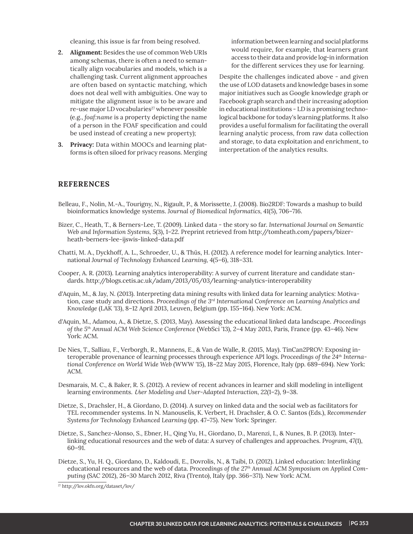cleaning, this issue is far from being resolved.

- **2. Alignment:** Besides the use of common Web URIs among schemas, there is often a need to semantically align vocabularies and models, which is a challenging task. Current alignment approaches are often based on syntactic matching, which does not deal well with ambiguities. One way to mitigate the alignment issue is to be aware and re-use major LD vocabularies<sup>27</sup> whenever possible (e.g., *foaf:name* is a property depicting the name of a person in the FOAF specification and could be used instead of creating a new property);
- **3. Privacy:** Data within MOOCs and learning platforms is often siloed for privacy reasons. Merging

information between learning and social platforms would require, for example, that learners grant access to their data and provide log-in information for the different services they use for learning.

Despite the challenges indicated above - and given the use of LOD datasets and knowledge bases in some major initiatives such as Google knowledge graph or Facebook graph search and their increasing adoption in educational institutions - LD is a promising technological backbone for today's learning platforms. It also provides a useful formalism for facilitating the overall learning analytic process, from raw data collection and storage, to data exploitation and enrichment, to interpretation of the analytics results.

#### **REFERENCES**

- Belleau, F., Nolin, M.-A., Tourigny, N., Rigault, P., & Morissette, J. (2008). Bio2RDF: Towards a mashup to build bioinformatics knowledge systems. Journal of Biomedical Informatics, 41(5), 706-716.
- Bizer, C., Heath, T., & Berners-Lee, T. (2009). Linked data the story so far. International Journal on Semantic Web and Information Systems, 5(3), 1-22. Preprint retrieved from http://tomheath.com/papers/bizerheath-berners-lee-ijswis-linked-data.pdf
- Chatti, M. A., Dyckhoff, A. L., Schroeder, U., & Thüs, H. (2012). A reference model for learning analytics. International *Journal of Technology Enhanced Learning*, 4(5–6), 318–331.
- Cooper, A. R. (2013). Learning analytics interoperability: A survey of current literature and candidate standards. http://blogs.cetis.ac.uk/adam/2013/05/03/learning-analytics-interoperability
- d'Aquin, M., & Jay, N. (2013). Interpreting data mining results with linked data for learning analytics: Motivation, case study and directions. *Proceedings of the 3rd International Conference on Learning Analytics and*  Knowledge (LAK '13), 8–12 April 2013, Leuven, Belgium (pp. 155–164). New York: ACM.
- d'Aquin, M., Adamou, A., & Dietze, S. (2013, May). Assessing the educational linked data landscape*. P*roceedings of the 5<sup>th</sup> Annual ACM Web Science Conference (WebSci '13), 2–4 May 2013, Paris, France (pp. 43–46). New York: ACM.
- De Nies, T., Salliau, F., Verborgh, R., Mannens, E., & Van de Walle, R. (2015, May). TinCan2PROV: Exposing interoperable provenance of learning processes through experience API logs. Proceedings of the 24<sup>th</sup> International Conference on World Wide Web (WWW '15), 18–22 May 2015, Florence, Italy (pp. 689–694). New York: ACM.
- Desmarais, M. C., & Baker, R. S. (2012). A review of recent advances in learner and skill modeling in intelligent learning environments. User Modeling and User-Adapted Interaction, 22(1-2), 9-38.
- Dietze, S., Drachsler, H., & Giordano, D. (2014). A survey on linked data and the social web as facilitators for TEL recommender systems. In N. Manouselis, K. Verbert, H. Drachsler, & O. C. Santos (Eds.), Recommender *Systems for Technology Enhanced Learning* (pp. 47-75). New York: Springer.
- Dietze, S., Sanchez-Alonso, S., Ebner, H., Qing Yu, H., Giordano, D., Marenzi, I., & Nunes, B. P. (2013). Interlinking educational resources and the web of data: A survey of challenges and approaches. *Program, 47*(1),  $60 - 91.$
- Dietze, S., Yu, H. Q., Giordano, D., Kaldoudi, E., Dovrolis, N., & Taibi, D. (2012). Linked education: Interlinking educational resources and the web of data. *Proceedings of the 27th Annual ACM Symposium on Applied Computing* (SAC 2012), 26-30 March 2012, Riva (Trento), Italy (pp. 366-371). New York: ACM.

<sup>27</sup> http://lov.okfn.org/dataset/lov/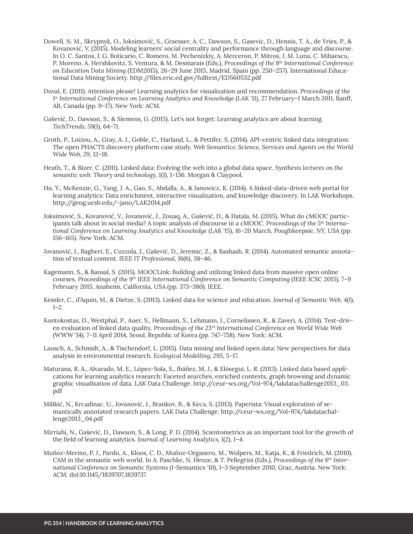- Dowell, N. M., Skrypnyk, O., Joksimović, S., Graesser, A. C., Dawson, S., Gasevic, D., Hennis, T. A., de Vries, P., & Kovanović, V. (2015). Modeling learners' social centrality and performance through language and discourse. In O. C. Santos, J. G. Boticario, C. Romero, M. Pechenizkiy, A. Merceron, P. Mitros, J. M. Luna, C. Mihaescu, P. Moreno, A. Hershkovitz, S. Ventura, & M. Desmarais (Eds.), Proceedings of the 8<sup>th</sup> International Conference on Education Data Mining (EDM2015), 26-29 June 2015, Madrid, Spain (pp. 250-257). International Educational Data Mining Society. http://files.eric.ed.gov/fulltext/ED560532.pdf
- Duval, E. (2011). Attention please! Learning analytics for visualization and recommendation. Proceedings of the 1st International Conference on Learning Analytics and Knowledge (LAK '11), 27 February-1 March 2011, Banff, AB, Canada (pp. 9-17). New York: ACM.
- Gašević, D., Dawson, S., & Siemens, G. (2015). Let's not forget: Learning analytics are about learning. TechTrends, 59(1), 64-71.
- Groth, P., Loizou, A., Gray, A. J., Goble, C., Harland, L., & Pettifer, S. (2014). API-centric linked data integration: The open PHACTS discovery platform case study. Web Semantics: Science, Services and Agents on the World Wide Web, 29, 12-18.
- Heath, T., & Bizer, C. (2011). Linked data: Evolving the web into a global data space. Synthesis lectures on the semantic web: Theory and technology, 1(1), 1-136. Morgan & Claypool.
- Hu, Y., McKenzie, G., Yang, J. A., Gao, S., Abdalla, A., & Janowicz, K. (2014). A linked-data-driven web portal for learning analytics: Data enrichment, interactive visualization, and knowledge discovery. In LAK Workshops. http://geog.ucsb.edu/~jano/LAK2014.pdf
- Joksimović, S., Kovanović, V., Jovanović, J., Zouaq, A., Gašević, D., & Hatala, M. (2015). What do cMOOC participants talk about in social media? A topic analysis of discourse in a cMOOC. Proceedings of the 5<sup>th</sup> International Conference on Learning Analytics and Knowledge (LAK '15), 16-20 March, Poughkeepsie, NY, USA (pp. 156-165). New York: ACM.
- Jovanović, J., Bagheri, E., Cuzzola, J., Gašević, D., Jeremic, Z., & Bashash, R. (2014). Automated semantic annotation of textual content. IEEE IT Professional, 16(6), 38-46.
- Kagemann, S., & Bansal, S. (2015). MOOCLink: Building and utilizing linked data from massive open online courses. Proceedings of the 9<sup>th</sup> IEEE International Conference on Semantic Computing (IEEE ICSC 2015), 7-9 February 2015, Anaheim, California, USA (pp. 373-380). IEEE.
- Kessler, C., d'Aquin, M., & Dietze, S. (2013). Linked data for science and education. Journal of Semantic Web, 4(1),  $1 - 2.$
- Kontokostas, D., Westphal, P., Auer, S., Hellmann, S., Lehmann, J., Cornelissen, R., & Zaveri, A. (2014). Test-driven evaluation of linked data quality. Proceedings of the 23<sup>rd</sup> International Conference on World Wide Web (WWW '14), 7-11 April 2014, Seoul, Republic of Korea (pp. 747-758). New York: ACM.
- Lausch, A., Schmidt, A., & Tischendorf, L. (2015). Data mining and linked open data: New perspectives for data analysis in environmental research. Ecological Modelling, 295, 5-17.
- Maturana, R. A., Alvarado, M. E., López-Sola, S., Ibáñez, M. J., & Elósegui, L. R. (2013). Linked data based applications for learning analytics research: Faceted searches, enriched contexts, graph browsing and dynamic graphic visualisation of data. LAK Data Challenge. http://ceur-ws.org/Vol-974/lakdatachallenge2013\_03. pdf
- Milikić, N., Krcadinac, U., Jovanović, J., Brankov, B., & Keca, S. (2013). Paperista: Visual exploration of semantically annotated research papers. LAK Data Challenge. http://ceur-ws.org/Vol-974/lakdatachallenge2013\_04.pdf
- Mirriahi, N., Gašević, D., Dawson, S., & Long, P. D. (2014). Scientometrics as an important tool for the growth of the field of learning analytics. Journal of Learning Analytics, 1(2), 1-4.
- Muñoz-Merino, P. J., Pardo, A., Kloos, C. D., Muñoz-Organero, M., Wolpers, M., Katja, K., & Friedrich, M. (2010). CAM in the semantic web world. In A. Paschke, N. Henze, & T. Pellegrini (Eds.), Proceedings of the 6<sup>th</sup> International Conference on Semantic Systems (I-Semantics '10), 1-3 September 2010, Graz, Austria. New York: ACM. doi:10.1145/1839707.1839737